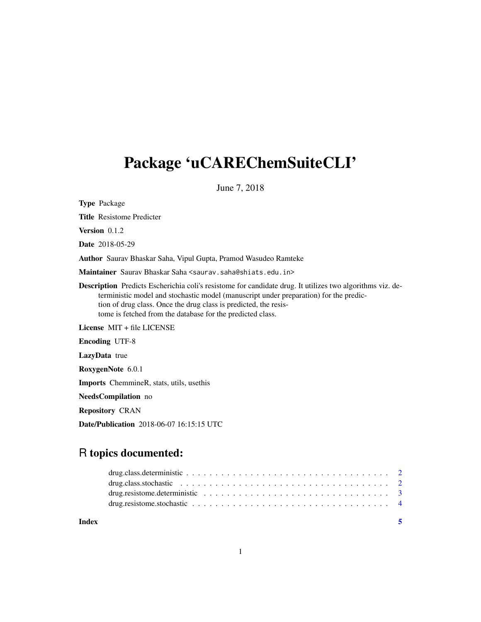## Package 'uCAREChemSuiteCLI'

June 7, 2018

Type Package

Title Resistome Predicter

Version 0.1.2

Date 2018-05-29

Author Saurav Bhaskar Saha, Vipul Gupta, Pramod Wasudeo Ramteke

Maintainer Saurav Bhaskar Saha <saurav.saha@shiats.edu.in>

Description Predicts Escherichia coli's resistome for candidate drug. It utilizes two algorithms viz. deterministic model and stochastic model (manuscript under preparation) for the prediction of drug class. Once the drug class is predicted, the resistome is fetched from the database for the predicted class.

License MIT + file LICENSE

Encoding UTF-8

LazyData true

RoxygenNote 6.0.1

Imports ChemmineR, stats, utils, usethis

NeedsCompilation no

Repository CRAN

Date/Publication 2018-06-07 16:15:15 UTC

### R topics documented:

| Index |  |
|-------|--|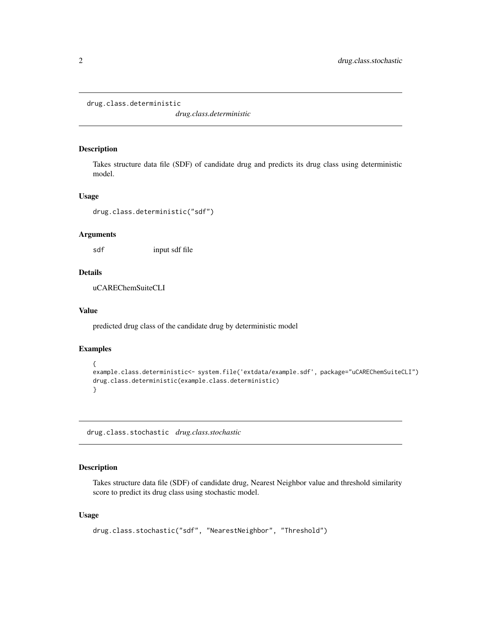```
drug.class.deterministic
```
*drug.class.deterministic*

#### Description

Takes structure data file (SDF) of candidate drug and predicts its drug class using deterministic model.

#### Usage

drug.class.deterministic("sdf")

#### Arguments

sdf input sdf file

#### Details

uCAREChemSuiteCLI

#### Value

predicted drug class of the candidate drug by deterministic model

#### Examples

```
{
example.class.deterministic<- system.file('extdata/example.sdf', package="uCAREChemSuiteCLI")
drug.class.deterministic(example.class.deterministic)
}
```
drug.class.stochastic *drug.class.stochastic*

#### Description

Takes structure data file (SDF) of candidate drug, Nearest Neighbor value and threshold similarity score to predict its drug class using stochastic model.

#### Usage

```
drug.class.stochastic("sdf", "NearestNeighbor", "Threshold")
```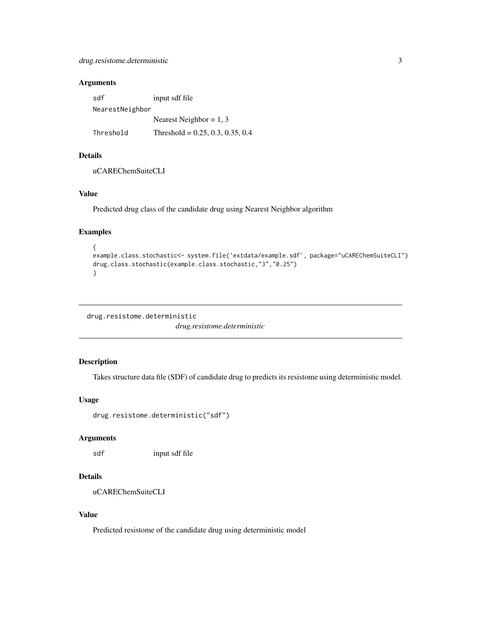#### <span id="page-2-0"></span>Arguments

| sdf             | input sdf file                     |  |  |
|-----------------|------------------------------------|--|--|
| NearestNeighbor |                                    |  |  |
|                 | Nearest Neighbor = $1, 3$          |  |  |
| Threshold       | Threshold = $0.25, 0.3, 0.35, 0.4$ |  |  |

#### Details

uCAREChemSuiteCLI

#### Value

Predicted drug class of the candidate drug using Nearest Neighbor algorithm

#### Examples

```
{
example.class.stochastic<- system.file('extdata/example.sdf', package="uCAREChemSuiteCLI")
drug.class.stochastic(example.class.stochastic,"3","0.25")
}
```

```
drug.resistome.deterministic
                         drug.resistome.deterministic
```
#### Description

Takes structure data file (SDF) of candidate drug to predicts its resistome using deterministic model.

#### Usage

drug.resistome.deterministic("sdf")

#### Arguments

sdf input sdf file

#### Details

```
uCAREChemSuiteCLI
```
#### Value

Predicted resistome of the candidate drug using deterministic model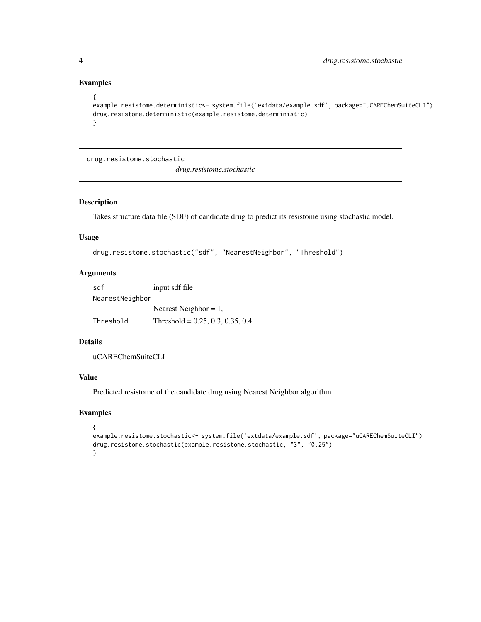#### Examples

```
{
example.resistome.deterministic<- system.file('extdata/example.sdf', package="uCAREChemSuiteCLI")
drug.resistome.deterministic(example.resistome.deterministic)
}
```
drug.resistome.stochastic

*drug.resistome.stochastic*

#### Description

Takes structure data file (SDF) of candidate drug to predict its resistome using stochastic model.

#### Usage

```
drug.resistome.stochastic("sdf", "NearestNeighbor", "Threshold")
```
#### Arguments

| sdf             | input sdf file                     |  |  |
|-----------------|------------------------------------|--|--|
| NearestNeighbor |                                    |  |  |
|                 | Nearest Neighbor = $1$ ,           |  |  |
| Threshold       | Threshold = $0.25, 0.3, 0.35, 0.4$ |  |  |

#### Details

uCAREChemSuiteCLI

#### Value

Predicted resistome of the candidate drug using Nearest Neighbor algorithm

#### Examples

```
{
example.resistome.stochastic<- system.file('extdata/example.sdf', package="uCAREChemSuiteCLI")
drug.resistome.stochastic(example.resistome.stochastic, "3", "0.25")
}
```
<span id="page-3-0"></span>